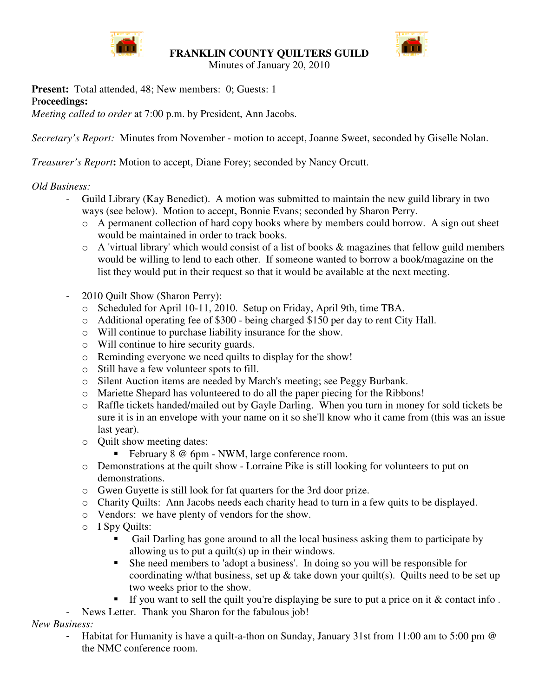

**FRANKLIN COUNTY QUILTERS GUILD**



Minutes of January 20, 2010

**Present:** Total attended, 48; New members: 0; Guests: 1 Pr**oceedings:**

*Meeting called to order* at 7:00 p.m. by President, Ann Jacobs.

*Secretary's Report:* Minutes from November - motion to accept, Joanne Sweet, seconded by Giselle Nolan.

*Treasurer's Report***:** Motion to accept, Diane Forey; seconded by Nancy Orcutt.

## *Old Business:*

- Guild Library (Kay Benedict). A motion was submitted to maintain the new guild library in two ways (see below). Motion to accept, Bonnie Evans; seconded by Sharon Perry.
	- o A permanent collection of hard copy books where by members could borrow. A sign out sheet would be maintained in order to track books.
	- o A 'virtual library' which would consist of a list of books & magazines that fellow guild members would be willing to lend to each other. If someone wanted to borrow a book/magazine on the list they would put in their request so that it would be available at the next meeting.
- 2010 Quilt Show (Sharon Perry):
	- o Scheduled for April 10-11, 2010. Setup on Friday, April 9th, time TBA.
	- o Additional operating fee of \$300 being charged \$150 per day to rent City Hall.
	- o Will continue to purchase liability insurance for the show.
	- o Will continue to hire security guards.
	- o Reminding everyone we need quilts to display for the show!
	- o Still have a few volunteer spots to fill.
	- o Silent Auction items are needed by March's meeting; see Peggy Burbank.
	- o Mariette Shepard has volunteered to do all the paper piecing for the Ribbons!
	- o Raffle tickets handed/mailed out by Gayle Darling. When you turn in money for sold tickets be sure it is in an envelope with your name on it so she'll know who it came from (this was an issue last year).
	- o Quilt show meeting dates:
		- February 8 @ 6pm NWM, large conference room.
	- o Demonstrations at the quilt show Lorraine Pike is still looking for volunteers to put on demonstrations.
	- o Gwen Guyette is still look for fat quarters for the 3rd door prize.
	- o Charity Quilts: Ann Jacobs needs each charity head to turn in a few quits to be displayed.
	- o Vendors: we have plenty of vendors for the show.
	- o I Spy Quilts:
		- Gail Darling has gone around to all the local business asking them to participate by allowing us to put a quilt(s) up in their windows.
		- She need members to 'adopt a business'. In doing so you will be responsible for coordinating w/that business, set up  $\&$  take down your quilt(s). Quilts need to be set up two weeks prior to the show.
		- If you want to sell the quilt you're displaying be sure to put a price on it  $&$  contact info.
- News Letter. Thank you Sharon for the fabulous job!

*New Business:*

- Habitat for Humanity is have a quilt-a-thon on Sunday, January 31st from 11:00 am to 5:00 pm @ the NMC conference room.